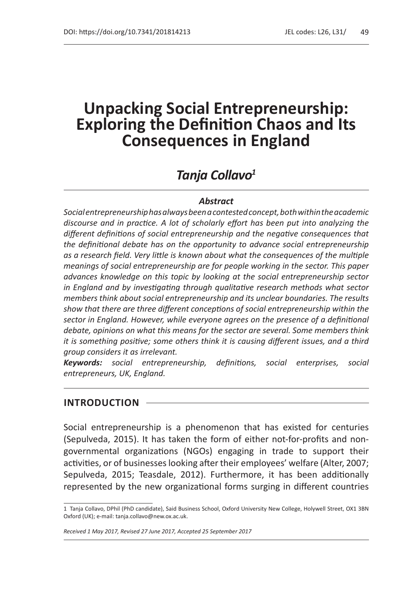# *Tanja Collavo<sup>1</sup>*

### *Abstract*

*Social entrepreneurship has always been acontested concept, both within the academic discourse and in practice. A lot of scholarly effort has been put into analyzing the different definitions of social entrepreneurship and the negative consequences that the definitional debate has on the opportunity to advance social entrepreneurship as a research field. Very little is known about what the consequences of the multiple meanings of social entrepreneurship are for people working in the sector. This paper advances knowledge on this topic by looking at the social entrepreneurship sector in England and by investigating through qualitative research methods what sector members think about social entrepreneurship and its unclear boundaries. The results show that there are three different conceptions of social entrepreneurship within the sector in England. However, while everyone agrees on the presence of a definitional debate, opinions on what this means for the sector are several. Some members think it is something positive; some others think it is causing different issues, and a third group considers it as irrelevant.*

*Keywords: social entrepreneurship, definitions, social enterprises, social entrepreneurs, UK, England.*

### **INTRODUCTION**

Social entrepreneurship is a phenomenon that has existed for centuries (Sepulveda, 2015). It has taken the form of either not-for-profits and nongovernmental organizations (NGOs) engaging in trade to support their activities, or of businesses looking after their employees' welfare (Alter, 2007; Sepulveda, 2015; Teasdale, 2012). Furthermore, it has been additionally represented by the new organizational forms surging in different countries

<sup>1</sup> Tanja Collavo, DPhil (PhD candidate), Said Business School, Oxford University New College, Holywell Street, OX1 3BN Oxford (UK); e-mail: tanja.collavo@new.ox.ac.uk.

*Received 1 May 2017, Revised 27 June 2017, Accepted 25 September 2017*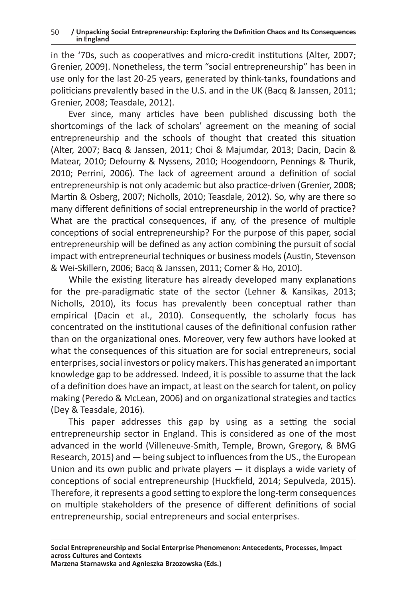in the '70s, such as cooperatives and micro-credit institutions (Alter, 2007; Grenier, 2009). Nonetheless, the term "social entrepreneurship" has been in use only for the last 20-25 years, generated by think-tanks, foundations and politicians prevalently based in the U.S. and in the UK (Bacq & Janssen, 2011; Grenier, 2008; Teasdale, 2012).

Ever since, many articles have been published discussing both the shortcomings of the lack of scholars' agreement on the meaning of social entrepreneurship and the schools of thought that created this situation (Alter, 2007; Bacq & Janssen, 2011; Choi & Majumdar, 2013; Dacin, Dacin & Matear, 2010; Defourny & Nyssens, 2010; Hoogendoorn, Pennings & Thurik, 2010; Perrini, 2006). The lack of agreement around a definition of social entrepreneurship is not only academic but also practice-driven (Grenier, 2008; Martin & Osberg, 2007; Nicholls, 2010; Teasdale, 2012). So, why are there so many different definitions of social entrepreneurship in the world of practice? What are the practical consequences, if any, of the presence of multiple conceptions of social entrepreneurship? For the purpose of this paper, social entrepreneurship will be defined as any action combining the pursuit of social impact with entrepreneurial techniques or business models (Austin, Stevenson & Wei-Skillern, 2006; Bacq & Janssen, 2011; Corner & Ho, 2010).

While the existing literature has already developed many explanations for the pre-paradigmatic state of the sector (Lehner & Kansikas, 2013; Nicholls, 2010), its focus has prevalently been conceptual rather than empirical (Dacin et al., 2010). Consequently, the scholarly focus has concentrated on the institutional causes of the definitional confusion rather than on the organizational ones. Moreover, very few authors have looked at what the consequences of this situation are for social entrepreneurs, social enterprises, social investors or policy makers. This has generated an important knowledge gap to be addressed. Indeed, it is possible to assume that the lack of a definition does have an impact, at least on the search for talent, on policy making (Peredo & McLean, 2006) and on organizational strategies and tactics (Dey & Teasdale, 2016).

This paper addresses this gap by using as a setting the social entrepreneurship sector in England. This is considered as one of the most advanced in the world (Villeneuve-Smith, Temple, Brown, Gregory, & BMG Research, 2015) and — being subject to influences from the US., the European Union and its own public and private players — it displays a wide variety of conceptions of social entrepreneurship (Huckfield, 2014; Sepulveda, 2015). Therefore, it represents a good setting to explore the long-term consequences on multiple stakeholders of the presence of different definitions of social entrepreneurship, social entrepreneurs and social enterprises.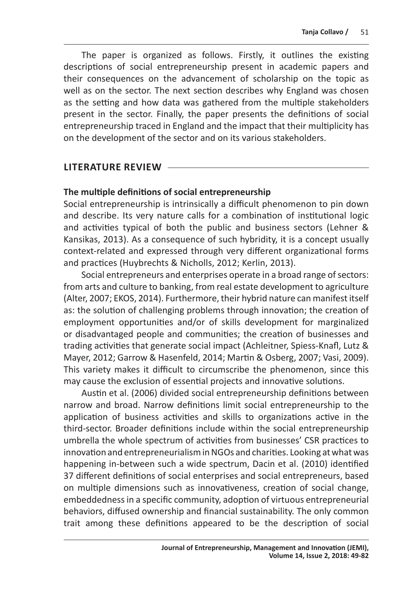The paper is organized as follows. Firstly, it outlines the existing descriptions of social entrepreneurship present in academic papers and their consequences on the advancement of scholarship on the topic as well as on the sector. The next section describes why England was chosen as the setting and how data was gathered from the multiple stakeholders present in the sector. Finally, the paper presents the definitions of social entrepreneurship traced in England and the impact that their multiplicity has on the development of the sector and on its various stakeholders.

# **LITERATURE REVIEW**

# **The multiple definitions of social entrepreneurship**

Social entrepreneurship is intrinsically a difficult phenomenon to pin down and describe. Its very nature calls for a combination of institutional logic and activities typical of both the public and business sectors (Lehner & Kansikas, 2013). As a consequence of such hybridity, it is a concept usually context-related and expressed through very different organizational forms and practices (Huybrechts & Nicholls, 2012; Kerlin, 2013).

Social entrepreneurs and enterprises operate in a broad range of sectors: from arts and culture to banking, from real estate development to agriculture (Alter, 2007; EKOS, 2014). Furthermore, their hybrid nature can manifest itself as: the solution of challenging problems through innovation; the creation of employment opportunities and/or of skills development for marginalized or disadvantaged people and communities; the creation of businesses and trading activities that generate social impact (Achleitner, Spiess-Knafl, Lutz & Mayer, 2012; Garrow & Hasenfeld, 2014; Martin & Osberg, 2007; Vasi, 2009). This variety makes it difficult to circumscribe the phenomenon, since this may cause the exclusion of essential projects and innovative solutions.

Austin et al. (2006) divided social entrepreneurship definitions between narrow and broad. Narrow definitions limit social entrepreneurship to the application of business activities and skills to organizations active in the third-sector. Broader definitions include within the social entrepreneurship umbrella the whole spectrum of activities from businesses' CSR practices to innovation and entrepreneurialism in NGOs and charities. Looking at what was happening in-between such a wide spectrum, Dacin et al. (2010) identified 37 different definitions of social enterprises and social entrepreneurs, based on multiple dimensions such as innovativeness, creation of social change, embeddedness in a specific community, adoption of virtuous entrepreneurial behaviors, diffused ownership and financial sustainability. The only common trait among these definitions appeared to be the description of social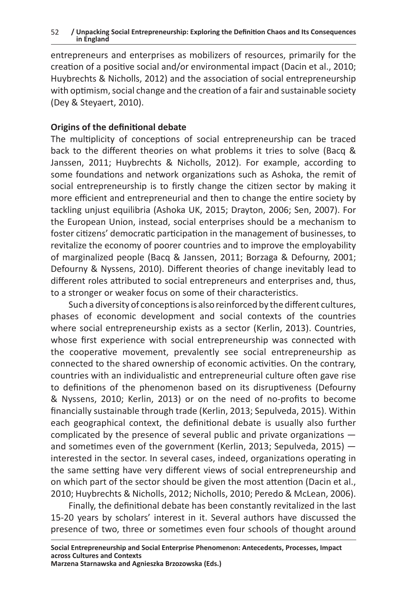entrepreneurs and enterprises as mobilizers of resources, primarily for the creation of a positive social and/or environmental impact (Dacin et al., 2010; Huybrechts & Nicholls, 2012) and the association of social entrepreneurship with optimism, social change and the creation of a fair and sustainable society (Dey & Steyaert, 2010).

# **Origins of the definitional debate**

The multiplicity of conceptions of social entrepreneurship can be traced back to the different theories on what problems it tries to solve (Bacq & Janssen, 2011; Huybrechts & Nicholls, 2012). For example, according to some foundations and network organizations such as Ashoka, the remit of social entrepreneurship is to firstly change the citizen sector by making it more efficient and entrepreneurial and then to change the entire society by tackling unjust equilibria (Ashoka UK, 2015; Drayton, 2006; Sen, 2007). For the European Union, instead, social enterprises should be a mechanism to foster citizens' democratic participation in the management of businesses, to revitalize the economy of poorer countries and to improve the employability of marginalized people (Bacq & Janssen, 2011; Borzaga & Defourny, 2001; Defourny & Nyssens, 2010). Different theories of change inevitably lead to different roles attributed to social entrepreneurs and enterprises and, thus, to a stronger or weaker focus on some of their characteristics.

Such a diversity of conceptions is also reinforced by the different cultures, phases of economic development and social contexts of the countries where social entrepreneurship exists as a sector (Kerlin, 2013). Countries, whose first experience with social entrepreneurship was connected with the cooperative movement, prevalently see social entrepreneurship as connected to the shared ownership of economic activities. On the contrary, countries with an individualistic and entrepreneurial culture often gave rise to definitions of the phenomenon based on its disruptiveness (Defourny & Nyssens, 2010; Kerlin, 2013) or on the need of no-profits to become financially sustainable through trade (Kerlin, 2013; Sepulveda, 2015). Within each geographical context, the definitional debate is usually also further complicated by the presence of several public and private organizations and sometimes even of the government (Kerlin, 2013; Sepulveda, 2015) interested in the sector. In several cases, indeed, organizations operating in the same setting have very different views of social entrepreneurship and on which part of the sector should be given the most attention (Dacin et al., 2010; Huybrechts & Nicholls, 2012; Nicholls, 2010; Peredo & McLean, 2006).

Finally, the definitional debate has been constantly revitalized in the last 15-20 years by scholars' interest in it. Several authors have discussed the presence of two, three or sometimes even four schools of thought around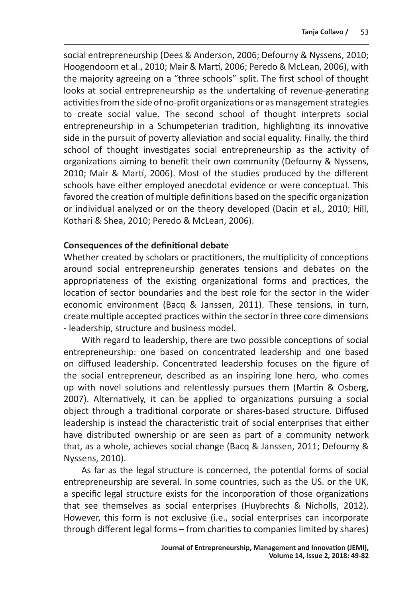social entrepreneurship (Dees & Anderson, 2006; Defourny & Nyssens, 2010; Hoogendoorn et al., 2010; Mair & Martí, 2006; Peredo & McLean, 2006), with the majority agreeing on a "three schools" split. The first school of thought looks at social entrepreneurship as the undertaking of revenue-generating activities from the side of no-profit organizations or as management strategies to create social value. The second school of thought interprets social entrepreneurship in a Schumpeterian tradition, highlighting its innovative side in the pursuit of poverty alleviation and social equality. Finally, the third school of thought investigates social entrepreneurship as the activity of organizations aiming to benefit their own community (Defourny & Nyssens, 2010; Mair & Martí, 2006). Most of the studies produced by the different schools have either employed anecdotal evidence or were conceptual. This favored the creation of multiple definitions based on the specific organization or individual analyzed or on the theory developed (Dacin et al., 2010; Hill, Kothari & Shea, 2010; Peredo & McLean, 2006).

# **Consequences of the definitional debate**

Whether created by scholars or practitioners, the multiplicity of conceptions around social entrepreneurship generates tensions and debates on the appropriateness of the existing organizational forms and practices, the location of sector boundaries and the best role for the sector in the wider economic environment (Bacq & Janssen, 2011). These tensions, in turn, create multiple accepted practices within the sector in three core dimensions - leadership, structure and business model.

With regard to leadership, there are two possible conceptions of social entrepreneurship: one based on concentrated leadership and one based on diffused leadership. Concentrated leadership focuses on the figure of the social entrepreneur, described as an inspiring lone hero, who comes up with novel solutions and relentlessly pursues them (Martin & Osberg, 2007). Alternatively, it can be applied to organizations pursuing a social object through a traditional corporate or shares-based structure. Diffused leadership is instead the characteristic trait of social enterprises that either have distributed ownership or are seen as part of a community network that, as a whole, achieves social change (Bacq & Janssen, 2011; Defourny & Nyssens, 2010).

As far as the legal structure is concerned, the potential forms of social entrepreneurship are several. In some countries, such as the US. or the UK, a specific legal structure exists for the incorporation of those organizations that see themselves as social enterprises (Huybrechts & Nicholls, 2012). However, this form is not exclusive (i.e., social enterprises can incorporate through different legal forms – from charities to companies limited by shares)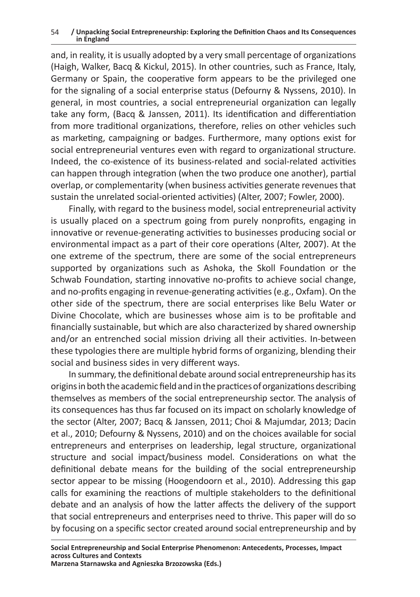and, in reality, it is usually adopted by a very small percentage of organizations (Haigh, Walker, Bacq & Kickul, 2015). In other countries, such as France, Italy, Germany or Spain, the cooperative form appears to be the privileged one for the signaling of a social enterprise status (Defourny & Nyssens, 2010). In general, in most countries, a social entrepreneurial organization can legally take any form, (Bacq & Janssen, 2011). Its identification and differentiation from more traditional organizations, therefore, relies on other vehicles such as marketing, campaigning or badges. Furthermore, many options exist for social entrepreneurial ventures even with regard to organizational structure. Indeed, the co-existence of its business-related and social-related activities can happen through integration (when the two produce one another), partial overlap, or complementarity (when business activities generate revenues that sustain the unrelated social-oriented activities) (Alter, 2007; Fowler, 2000).

Finally, with regard to the business model, social entrepreneurial activity is usually placed on a spectrum going from purely nonprofits, engaging in innovative or revenue-generating activities to businesses producing social or environmental impact as a part of their core operations (Alter, 2007). At the one extreme of the spectrum, there are some of the social entrepreneurs supported by organizations such as Ashoka, the Skoll Foundation or the Schwab Foundation, starting innovative no-profits to achieve social change, and no-profits engaging in revenue-generating activities (e.g., Oxfam). On the other side of the spectrum, there are social enterprises like Belu Water or Divine Chocolate, which are businesses whose aim is to be profitable and financially sustainable, but which are also characterized by shared ownership and/or an entrenched social mission driving all their activities. In-between these typologies there are multiple hybrid forms of organizing, blending their social and business sides in very different ways.

In summary, the definitional debate around social entrepreneurship has its origins in both the academic field and in the practices of organizations describing themselves as members of the social entrepreneurship sector. The analysis of its consequences has thus far focused on its impact on scholarly knowledge of the sector (Alter, 2007; Bacq & Janssen, 2011; Choi & Majumdar, 2013; Dacin et al., 2010; Defourny & Nyssens, 2010) and on the choices available for social entrepreneurs and enterprises on leadership, legal structure, organizational structure and social impact/business model. Considerations on what the definitional debate means for the building of the social entrepreneurship sector appear to be missing (Hoogendoorn et al., 2010). Addressing this gap calls for examining the reactions of multiple stakeholders to the definitional debate and an analysis of how the latter affects the delivery of the support that social entrepreneurs and enterprises need to thrive. This paper will do so by focusing on a specific sector created around social entrepreneurship and by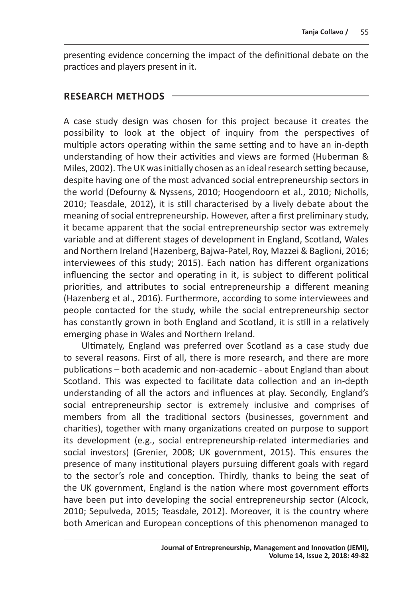presenting evidence concerning the impact of the definitional debate on the practices and players present in it.

# **RESEARCH METHODS**

A case study design was chosen for this project because it creates the possibility to look at the object of inquiry from the perspectives of multiple actors operating within the same setting and to have an in-depth understanding of how their activities and views are formed (Huberman & Miles, 2002). The UK was initially chosen as an ideal research setting because, despite having one of the most advanced social entrepreneurship sectors in the world (Defourny & Nyssens, 2010; Hoogendoorn et al., 2010; Nicholls, 2010; Teasdale, 2012), it is still characterised by a lively debate about the meaning of social entrepreneurship. However, after a first preliminary study, it became apparent that the social entrepreneurship sector was extremely variable and at different stages of development in England, Scotland, Wales and Northern Ireland (Hazenberg, Bajwa-Patel, Roy, Mazzei & Baglioni, 2016; interviewees of this study; 2015). Each nation has different organizations influencing the sector and operating in it, is subject to different political priorities, and attributes to social entrepreneurship a different meaning (Hazenberg et al., 2016). Furthermore, according to some interviewees and people contacted for the study, while the social entrepreneurship sector has constantly grown in both England and Scotland, it is still in a relatively emerging phase in Wales and Northern Ireland.

Ultimately, England was preferred over Scotland as a case study due to several reasons. First of all, there is more research, and there are more publications – both academic and non-academic - about England than about Scotland. This was expected to facilitate data collection and an in-depth understanding of all the actors and influences at play. Secondly, England's social entrepreneurship sector is extremely inclusive and comprises of members from all the traditional sectors (businesses, government and charities), together with many organizations created on purpose to support its development (e.g., social entrepreneurship-related intermediaries and social investors) (Grenier, 2008; UK government, 2015). This ensures the presence of many institutional players pursuing different goals with regard to the sector's role and conception. Thirdly, thanks to being the seat of the UK government, England is the nation where most government efforts have been put into developing the social entrepreneurship sector (Alcock, 2010; Sepulveda, 2015; Teasdale, 2012). Moreover, it is the country where both American and European conceptions of this phenomenon managed to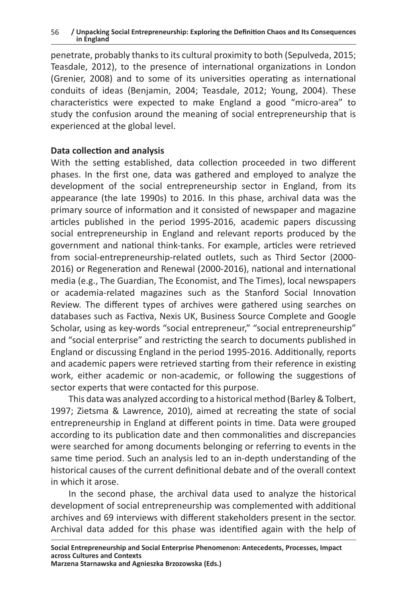penetrate, probably thanks to its cultural proximity to both (Sepulveda, 2015; Teasdale, 2012), to the presence of international organizations in London (Grenier, 2008) and to some of its universities operating as international conduits of ideas (Benjamin, 2004; Teasdale, 2012; Young, 2004). These characteristics were expected to make England a good "micro-area" to study the confusion around the meaning of social entrepreneurship that is experienced at the global level.

# **Data collection and analysis**

With the setting established, data collection proceeded in two different phases. In the first one, data was gathered and employed to analyze the development of the social entrepreneurship sector in England, from its appearance (the late 1990s) to 2016. In this phase, archival data was the primary source of information and it consisted of newspaper and magazine articles published in the period 1995-2016, academic papers discussing social entrepreneurship in England and relevant reports produced by the government and national think-tanks. For example, articles were retrieved from social-entrepreneurship-related outlets, such as Third Sector (2000- 2016) or Regeneration and Renewal (2000-2016), national and international media (e.g., The Guardian, The Economist, and The Times), local newspapers or academia-related magazines such as the Stanford Social Innovation Review. The different types of archives were gathered using searches on databases such as Factiva, Nexis UK, Business Source Complete and Google Scholar, using as key-words "social entrepreneur," "social entrepreneurship" and "social enterprise" and restricting the search to documents published in England or discussing England in the period 1995-2016. Additionally, reports and academic papers were retrieved starting from their reference in existing work, either academic or non-academic, or following the suggestions of sector experts that were contacted for this purpose.

This data was analyzed according to a historical method (Barley & Tolbert, 1997; Zietsma & Lawrence, 2010), aimed at recreating the state of social entrepreneurship in England at different points in time. Data were grouped according to its publication date and then commonalities and discrepancies were searched for among documents belonging or referring to events in the same time period. Such an analysis led to an in-depth understanding of the historical causes of the current definitional debate and of the overall context in which it arose.

In the second phase, the archival data used to analyze the historical development of social entrepreneurship was complemented with additional archives and 69 interviews with different stakeholders present in the sector. Archival data added for this phase was identified again with the help of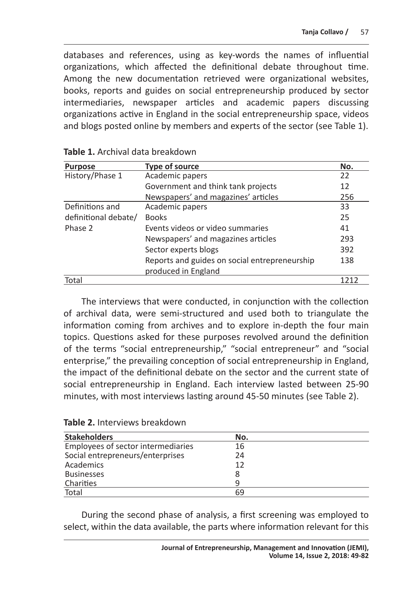databases and references, using as key-words the names of influential organizations, which affected the definitional debate throughout time. Among the new documentation retrieved were organizational websites, books, reports and guides on social entrepreneurship produced by sector intermediaries, newspaper articles and academic papers discussing organizations active in England in the social entrepreneurship space, videos and blogs posted online by members and experts of the sector (see Table 1).

| <b>Purpose</b>       | <b>Type of source</b>                         | No.  |
|----------------------|-----------------------------------------------|------|
| History/Phase 1      | Academic papers                               | 22   |
|                      | Government and think tank projects            | 12   |
|                      | Newspapers' and magazines' articles           | 256  |
| Definitions and      | Academic papers                               | 33   |
| definitional debate/ | <b>Books</b>                                  | 25   |
| Phase 2              | Events videos or video summaries              | 41   |
|                      | Newspapers' and magazines articles            | 293  |
|                      | Sector experts blogs                          | 392  |
|                      | Reports and guides on social entrepreneurship | 138  |
|                      | produced in England                           |      |
| Total                |                                               | 1212 |

| Table 1. Archival data breakdown |
|----------------------------------|
|----------------------------------|

The interviews that were conducted, in conjunction with the collection of archival data, were semi-structured and used both to triangulate the information coming from archives and to explore in-depth the four main topics. Questions asked for these purposes revolved around the definition of the terms "social entrepreneurship," "social entrepreneur" and "social enterprise," the prevailing conception of social entrepreneurship in England, the impact of the definitional debate on the sector and the current state of social entrepreneurship in England. Each interview lasted between 25-90 minutes, with most interviews lasting around 45-50 minutes (see Table 2).

| <b>Stakeholders</b>                | No. |  |
|------------------------------------|-----|--|
| Employees of sector intermediaries | 16  |  |
| Social entrepreneurs/enterprises   | 24  |  |
| Academics                          | 12  |  |
| <b>Businesses</b>                  | 8   |  |
| Charities                          | q   |  |
| Total                              | 69  |  |

**Table 2.** Interviews breakdown

During the second phase of analysis, a first screening was employed to select, within the data available, the parts where information relevant for this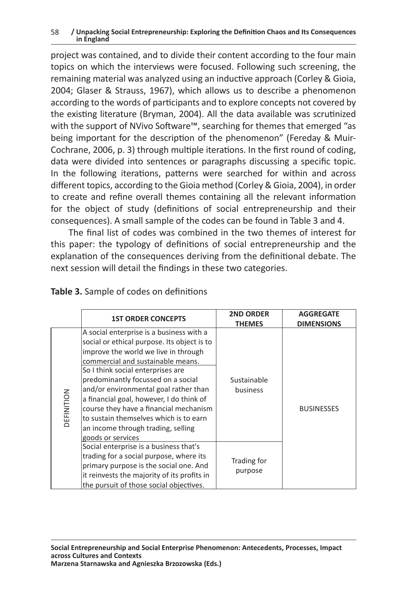project was contained, and to divide their content according to the four main topics on which the interviews were focused. Following such screening, the remaining material was analyzed using an inductive approach (Corley & Gioia, 2004; Glaser & Strauss, 1967), which allows us to describe a phenomenon according to the words of participants and to explore concepts not covered by the existing literature (Bryman, 2004). All the data available was scrutinized with the support of NVivo Software™, searching for themes that emerged "as being important for the description of the phenomenon" (Fereday & Muir-Cochrane, 2006, p. 3) through multiple iterations. In the first round of coding, data were divided into sentences or paragraphs discussing a specific topic. In the following iterations, patterns were searched for within and across different topics, according to the Gioia method (Corley & Gioia, 2004), in order to create and refine overall themes containing all the relevant information for the object of study (definitions of social entrepreneurship and their consequences). A small sample of the codes can be found in Table 3 and 4.

The final list of codes was combined in the two themes of interest for this paper: the typology of definitions of social entrepreneurship and the explanation of the consequences deriving from the definitional debate. The next session will detail the findings in these two categories.

|            | <b>1ST ORDER CONCEPTS</b>                                                                                                                                                                                                                                                                                                                                                                                                                                                           | <b>2ND ORDER</b><br>THEMES | <b>AGGREGATE</b><br><b>DIMENSIONS</b> |
|------------|-------------------------------------------------------------------------------------------------------------------------------------------------------------------------------------------------------------------------------------------------------------------------------------------------------------------------------------------------------------------------------------------------------------------------------------------------------------------------------------|----------------------------|---------------------------------------|
| DEFINITION | A social enterprise is a business with a<br>social or ethical purpose. Its object is to<br>improve the world we live in through<br>commercial and sustainable means.<br>So I think social enterprises are<br>predominantly focussed on a social<br>and/or environmental goal rather than<br>a financial goal, however, I do think of<br>course they have a financial mechanism<br>to sustain themselves which is to earn<br>an income through trading, selling<br>goods or services | Sustainable<br>business    | <b>BUSINESSES</b>                     |
|            | Social enterprise is a business that's<br>trading for a social purpose, where its<br>primary purpose is the social one. And<br>it reinvests the majority of its profits in<br>the pursuit of those social objectives.                                                                                                                                                                                                                                                               | Trading for<br>purpose     |                                       |

### **Table 3.** Sample of codes on definitions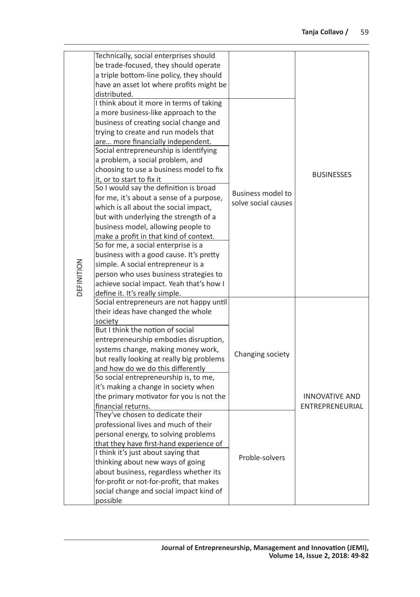|            | Technically, social enterprises should<br>be trade-focused, they should operate<br>a triple bottom-line policy, they should<br>have an asset lot where profits might be                                                                                                                                                                                                                                                                                                                                                                                                                                                                                                                                                                                                                                                                             |                                                 | <b>BUSINESSES</b>                        |  |
|------------|-----------------------------------------------------------------------------------------------------------------------------------------------------------------------------------------------------------------------------------------------------------------------------------------------------------------------------------------------------------------------------------------------------------------------------------------------------------------------------------------------------------------------------------------------------------------------------------------------------------------------------------------------------------------------------------------------------------------------------------------------------------------------------------------------------------------------------------------------------|-------------------------------------------------|------------------------------------------|--|
| DEFINITION | distributed.<br>I think about it more in terms of taking<br>a more business-like approach to the<br>business of creating social change and<br>trying to create and run models that<br>are more financially independent.<br>Social entrepreneurship is identifying<br>a problem, a social problem, and<br>choosing to use a business model to fix<br>it, or to start to fix it<br>So I would say the definition is broad<br>for me, it's about a sense of a purpose,<br>which is all about the social impact,<br>but with underlying the strength of a<br>business model, allowing people to<br>make a profit in that kind of context.<br>So for me, a social enterprise is a<br>business with a good cause. It's pretty<br>simple. A social entrepreneur is a<br>person who uses business strategies to<br>achieve social impact. Yeah that's how I | <b>Business model to</b><br>solve social causes |                                          |  |
|            | define it. It's really simple.<br>Social entrepreneurs are not happy until<br>their ideas have changed the whole<br>society<br>But I think the notion of social<br>entrepreneurship embodies disruption,<br>systems change, making money work,<br>but really looking at really big problems<br>and how do we do this differently<br>So social entrepreneurship is, to me,<br>it's making a change in society when<br>the primary motivator for you is not the<br>financial returns.                                                                                                                                                                                                                                                                                                                                                                 | Changing society                                | <b>INNOVATIVE AND</b><br>ENTREPRENEURIAL |  |
|            | They've chosen to dedicate their<br>professional lives and much of their<br>personal energy, to solving problems<br>that they have first-hand experience of<br>I think it's just about saying that<br>thinking about new ways of going<br>about business, regardless whether its<br>for-profit or not-for-profit, that makes<br>social change and social impact kind of<br>possible                                                                                                                                                                                                                                                                                                                                                                                                                                                                 | Proble-solvers                                  |                                          |  |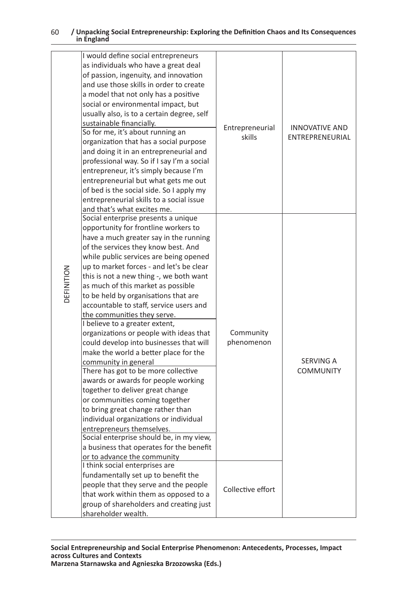|            | of passion, ingenuity, and innovation<br>and use those skills in order to create<br>a model that not only has a positive<br>social or environmental impact, but<br>usually also, is to a certain degree, self<br>sustainable financially.<br>So for me, it's about running an<br>organization that has a social purpose<br>and doing it in an entrepreneurial and<br>professional way. So if I say I'm a social<br>entrepreneur, it's simply because I'm<br>entrepreneurial but what gets me out<br>of bed is the social side. So I apply my<br>entrepreneurial skills to a social issue<br>and that's what excites me.<br>Social enterprise presents a unique<br>opportunity for frontline workers to<br>have a much greater say in the running         | Entrepreneurial<br>skills | INNOVATIVE AND<br>ENTREPRENEURIAL |
|------------|----------------------------------------------------------------------------------------------------------------------------------------------------------------------------------------------------------------------------------------------------------------------------------------------------------------------------------------------------------------------------------------------------------------------------------------------------------------------------------------------------------------------------------------------------------------------------------------------------------------------------------------------------------------------------------------------------------------------------------------------------------|---------------------------|-----------------------------------|
| DEFINITION | of the services they know best. And<br>while public services are being opened<br>up to market forces - and let's be clear<br>this is not a new thing -, we both want<br>as much of this market as possible<br>to be held by organisations that are<br>accountable to staff, service users and<br>the communities they serve.<br>I believe to a greater extent,<br>organizations or people with ideas that<br>could develop into businesses that will<br>make the world a better place for the<br>community in general<br>There has got to be more collective<br>awards or awards for people working<br>together to deliver great change<br>or communities coming together<br>to bring great change rather than<br>individual organizations or individual | Community<br>phenomenon   | SERVING A<br><b>COMMUNITY</b>     |
|            | entrepreneurs themselves.<br>Social enterprise should be, in my view,<br>a business that operates for the benefit<br>or to advance the community<br>I think social enterprises are<br>fundamentally set up to benefit the<br>people that they serve and the people<br>that work within them as opposed to a                                                                                                                                                                                                                                                                                                                                                                                                                                              | Collective effort         |                                   |
|            | group of shareholders and creating just<br>shareholder wealth.<br>Social Entrepreneurship and Social Enterprise Phenomenon: Antecedents, Processes, Impact                                                                                                                                                                                                                                                                                                                                                                                                                                                                                                                                                                                               |                           |                                   |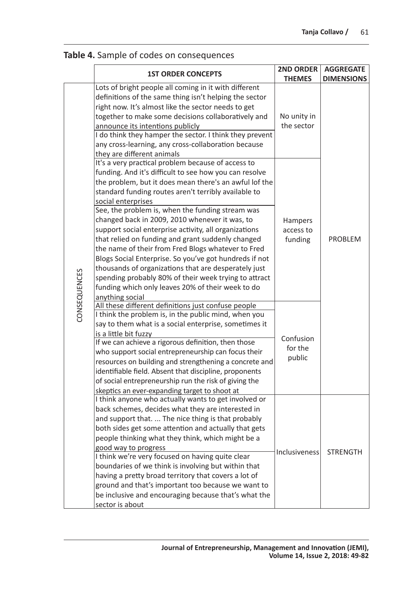|              | <b>1ST ORDER CONCEPTS</b>                                                                                                                                                                                                                                                                                                                                                                                                                                                                                                                                                                                                                                                                                                                                                         | <b>2ND ORDER</b>                       | <b>AGGREGATE</b>  |
|--------------|-----------------------------------------------------------------------------------------------------------------------------------------------------------------------------------------------------------------------------------------------------------------------------------------------------------------------------------------------------------------------------------------------------------------------------------------------------------------------------------------------------------------------------------------------------------------------------------------------------------------------------------------------------------------------------------------------------------------------------------------------------------------------------------|----------------------------------------|-------------------|
|              |                                                                                                                                                                                                                                                                                                                                                                                                                                                                                                                                                                                                                                                                                                                                                                                   | <b>THEMES</b>                          | <b>DIMENSIONS</b> |
|              | Lots of bright people all coming in it with different<br>definitions of the same thing isn't helping the sector<br>right now. It's almost like the sector needs to get<br>together to make some decisions collaboratively and<br>announce its intentions publicly<br>I do think they hamper the sector. I think they prevent<br>any cross-learning, any cross-collaboration because<br>they are different animals                                                                                                                                                                                                                                                                                                                                                                 | No unity in<br>the sector              | <b>PROBLEM</b>    |
| CONSEQUENCES | It's a very practical problem because of access to<br>funding. And it's difficult to see how you can resolve<br>the problem, but it does mean there's an awful lof the<br>standard funding routes aren't terribly available to<br>social enterprises<br>See, the problem is, when the funding stream was<br>changed back in 2009, 2010 whenever it was, to<br>support social enterprise activity, all organizations<br>that relied on funding and grant suddenly changed<br>the name of their from Fred Blogs whatever to Fred<br>Blogs Social Enterprise. So you've got hundreds if not<br>thousands of organizations that are desperately just<br>spending probably 80% of their week trying to attract<br>funding which only leaves 20% of their week to do<br>anything social | <b>Hampers</b><br>access to<br>funding |                   |
|              | All these different definitions just confuse people<br>I think the problem is, in the public mind, when you<br>say to them what is a social enterprise, sometimes it<br>is a little bit fuzzy<br>If we can achieve a rigorous definition, then those<br>who support social entrepreneurship can focus their<br>resources on building and strengthening a concrete and<br>identifiable field. Absent that discipline, proponents<br>of social entrepreneurship run the risk of giving the<br>skeptics an ever-expanding target to shoot at                                                                                                                                                                                                                                         | Confusion<br>for the<br>public         |                   |
|              | I think anyone who actually wants to get involved or<br>back schemes, decides what they are interested in<br>and support that.  The nice thing is that probably<br>both sides get some attention and actually that gets<br>people thinking what they think, which might be a<br>good way to progress<br>I think we're very focused on having quite clear<br>boundaries of we think is involving but within that<br>having a pretty broad territory that covers a lot of<br>ground and that's important too because we want to<br>be inclusive and encouraging because that's what the<br>sector is about                                                                                                                                                                          | <b>Inclusiveness</b>                   | <b>STRENGTH</b>   |

# **Table 4.** Sample of codes on consequences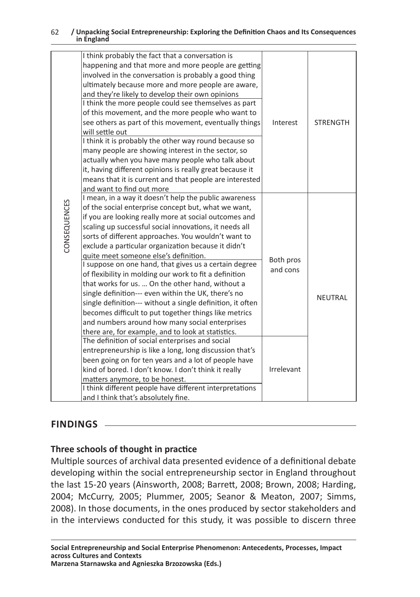|                 | I think probably the fact that a conversation is<br>happening and that more and more people are getting<br>involved in the conversation is probably a good thing<br>ultimately because more and more people are aware,<br>and they're likely to develop their own opinions<br>I think the more people could see themselves as part<br>of this movement, and the more people who want to<br>see others as part of this movement, eventually things<br>will settle out<br>I think it is probably the other way round because so<br>many people are showing interest in the sector, so<br>actually when you have many people who talk about<br>it, having different opinions is really great because it<br>means that it is current and that people are interested<br>and want to find out more                                                                                                                                                                                                                                                                                                                        | Interest                            | <b>STRENGTH</b> |
|-----------------|---------------------------------------------------------------------------------------------------------------------------------------------------------------------------------------------------------------------------------------------------------------------------------------------------------------------------------------------------------------------------------------------------------------------------------------------------------------------------------------------------------------------------------------------------------------------------------------------------------------------------------------------------------------------------------------------------------------------------------------------------------------------------------------------------------------------------------------------------------------------------------------------------------------------------------------------------------------------------------------------------------------------------------------------------------------------------------------------------------------------|-------------------------------------|-----------------|
| CONSEQUENCES    | I mean, in a way it doesn't help the public awareness<br>of the social enterprise concept but, what we want,<br>if you are looking really more at social outcomes and<br>scaling up successful social innovations, it needs all<br>sorts of different approaches. You wouldn't want to<br>exclude a particular organization because it didn't<br>quite meet someone else's definition.<br>I suppose on one hand, that gives us a certain degree<br>of flexibility in molding our work to fit a definition<br>that works for us.  On the other hand, without a<br>single definition--- even within the UK, there's no<br>single definition--- without a single definition, it often<br>becomes difficult to put together things like metrics<br>and numbers around how many social enterprises<br>there are, for example, and to look at statistics.<br>The definition of social enterprises and social<br>entrepreneurship is like a long, long discussion that's<br>been going on for ten years and a lot of people have<br>kind of bored. I don't know. I don't think it really<br>matters anymore, to be honest. | Both pros<br>and cons<br>Irrelevant | NEUTRAL         |
|                 | I think different people have different interpretations<br>and I think that's absolutely fine.                                                                                                                                                                                                                                                                                                                                                                                                                                                                                                                                                                                                                                                                                                                                                                                                                                                                                                                                                                                                                      |                                     |                 |
| <b>FINDINGS</b> | Three schools of thought in practice<br>Multiple sources of archival data presented evidence of a definitional debate<br>developing within the social entrepreneurship sector in England throughout<br>the last 15-20 years (Ainsworth, 2008; Barrett, 2008; Brown, 2008; Harding,<br>2004; McCurry, 2005; Plummer, 2005; Seanor & Meaton, 2007; Simms,<br>2008). In those documents, in the ones produced by sector stakeholders and<br>in the interviews conducted for this study, it was possible to discern three                                                                                                                                                                                                                                                                                                                                                                                                                                                                                                                                                                                               |                                     |                 |
|                 | Social Entrepreneurship and Social Enterprise Phenomenon: Antecedents, Processes, Impact<br>across Cultures and Contexts<br>Marzena Starnawska and Agnieszka Brzozowska (Eds.)                                                                                                                                                                                                                                                                                                                                                                                                                                                                                                                                                                                                                                                                                                                                                                                                                                                                                                                                      |                                     |                 |

# **FINDINGS**

# **Three schools of thought in practice**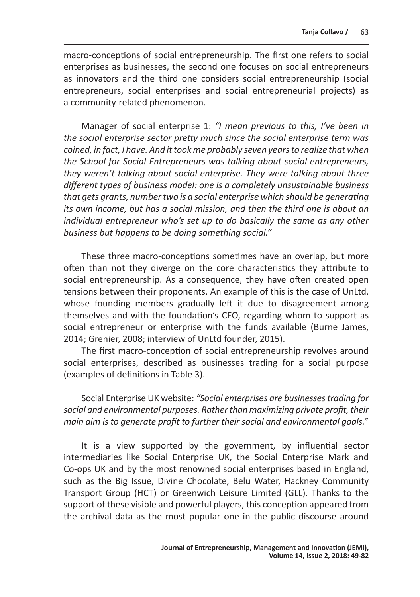macro-conceptions of social entrepreneurship. The first one refers to social enterprises as businesses, the second one focuses on social entrepreneurs as innovators and the third one considers social entrepreneurship (social entrepreneurs, social enterprises and social entrepreneurial projects) as a community-related phenomenon.

Manager of social enterprise 1: *"I mean previous to this, I've been in the social enterprise sector pretty much since the social enterprise term was coined, in fact, I have. And it took me probably seven years to realize that when the School for Social Entrepreneurs was talking about social entrepreneurs, they weren't talking about social enterprise. They were talking about three different types of business model: one is a completely unsustainable business that gets grants, number two is a social enterprise which should be generating its own income, but has a social mission, and then the third one is about an individual entrepreneur who's set up to do basically the same as any other business but happens to be doing something social."*

These three macro-conceptions sometimes have an overlap, but more often than not they diverge on the core characteristics they attribute to social entrepreneurship. As a consequence, they have often created open tensions between their proponents. An example of this is the case of UnLtd, whose founding members gradually left it due to disagreement among themselves and with the foundation's CEO, regarding whom to support as social entrepreneur or enterprise with the funds available (Burne James, 2014; Grenier, 2008; interview of UnLtd founder, 2015).

The first macro-conception of social entrepreneurship revolves around social enterprises, described as businesses trading for a social purpose (examples of definitions in Table 3).

Social Enterprise UK website: *"Social enterprises are businesses trading for social and environmental purposes. Rather than maximizing private profit, their main aim is to generate profit to further their social and environmental goals."*

It is a view supported by the government, by influential sector intermediaries like Social Enterprise UK, the Social Enterprise Mark and Co-ops UK and by the most renowned social enterprises based in England, such as the Big Issue, Divine Chocolate, Belu Water, Hackney Community Transport Group (HCT) or Greenwich Leisure Limited (GLL). Thanks to the support of these visible and powerful players, this conception appeared from the archival data as the most popular one in the public discourse around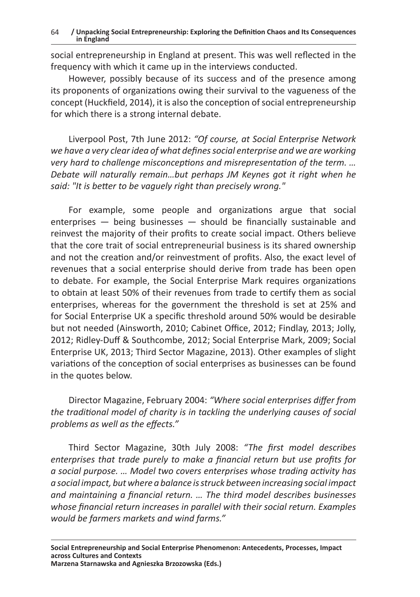social entrepreneurship in England at present. This was well reflected in the frequency with which it came up in the interviews conducted.

However, possibly because of its success and of the presence among its proponents of organizations owing their survival to the vagueness of the concept (Huckfield, 2014), it is also the conception of social entrepreneurship for which there is a strong internal debate.

Liverpool Post, 7th June 2012: *"Of course, at Social Enterprise Network we have a very clear idea of what defines social enterprise and we are working very hard to challenge misconceptions and misrepresentation of the term. … Debate will naturally remain…but perhaps JM Keynes got it right when he said: "It is better to be vaguely right than precisely wrong."*

For example, some people and organizations argue that social enterprises — being businesses — should be financially sustainable and reinvest the majority of their profits to create social impact. Others believe that the core trait of social entrepreneurial business is its shared ownership and not the creation and/or reinvestment of profits. Also, the exact level of revenues that a social enterprise should derive from trade has been open to debate. For example, the Social Enterprise Mark requires organizations to obtain at least 50% of their revenues from trade to certify them as social enterprises, whereas for the government the threshold is set at 25% and for Social Enterprise UK a specific threshold around 50% would be desirable but not needed (Ainsworth, 2010; Cabinet Office, 2012; Findlay, 2013; Jolly, 2012; Ridley-Duff & Southcombe, 2012; Social Enterprise Mark, 2009; Social Enterprise UK, 2013; Third Sector Magazine, 2013). Other examples of slight variations of the conception of social enterprises as businesses can be found in the quotes below.

Director Magazine, February 2004: *"Where social enterprises differ from the traditional model of charity is in tackling the underlying causes of social problems as well as the effects."*

Third Sector Magazine, 30th July 2008: *"The first model describes enterprises that trade purely to make a financial return but use profits for a social purpose. … Model two covers enterprises whose trading activity has a social impact, but where a balance is struck between increasing social impact and maintaining a financial return. … The third model describes businesses whose financial return increases in parallel with their social return. Examples would be farmers markets and wind farms."*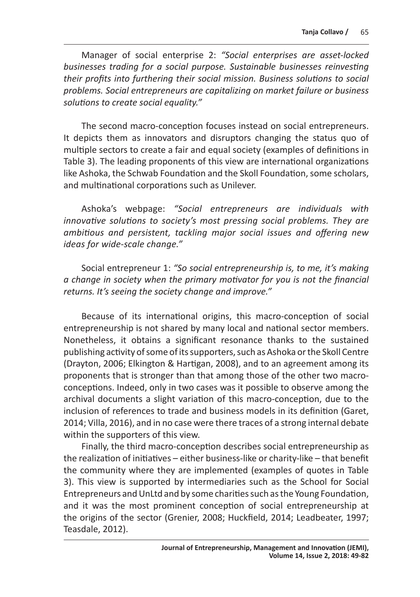Manager of social enterprise 2: *"Social enterprises are asset-locked businesses trading for a social purpose. Sustainable businesses reinvesting their profits into furthering their social mission. Business solutions to social problems. Social entrepreneurs are capitalizing on market failure or business solutions to create social equality."*

The second macro-conception focuses instead on social entrepreneurs. It depicts them as innovators and disruptors changing the status quo of multiple sectors to create a fair and equal society (examples of definitions in Table 3). The leading proponents of this view are international organizations like Ashoka, the Schwab Foundation and the Skoll Foundation, some scholars, and multinational corporations such as Unilever.

Ashoka's webpage: *"Social entrepreneurs are individuals with innovative solutions to society's most pressing social problems. They are ambitious and persistent, tackling major social issues and offering new ideas for wide-scale change."*

Social entrepreneur 1: *"So social entrepreneurship is, to me, it's making a change in society when the primary motivator for you is not the financial returns. It's seeing the society change and improve."*

Because of its international origins, this macro-conception of social entrepreneurship is not shared by many local and national sector members. Nonetheless, it obtains a significant resonance thanks to the sustained publishing activity of some of its supporters, such as Ashoka or the Skoll Centre (Drayton, 2006; Elkington & Hartigan, 2008), and to an agreement among its proponents that is stronger than that among those of the other two macroconceptions. Indeed, only in two cases was it possible to observe among the archival documents a slight variation of this macro-conception, due to the inclusion of references to trade and business models in its definition (Garet, 2014; Villa, 2016), and in no case were there traces of a strong internal debate within the supporters of this view.

Finally, the third macro-conception describes social entrepreneurship as the realization of initiatives – either business-like or charity-like – that benefit the community where they are implemented (examples of quotes in Table 3). This view is supported by intermediaries such as the School for Social Entrepreneurs and UnLtd and by some charities such as the Young Foundation, and it was the most prominent conception of social entrepreneurship at the origins of the sector (Grenier, 2008; Huckfield, 2014; Leadbeater, 1997; Teasdale, 2012).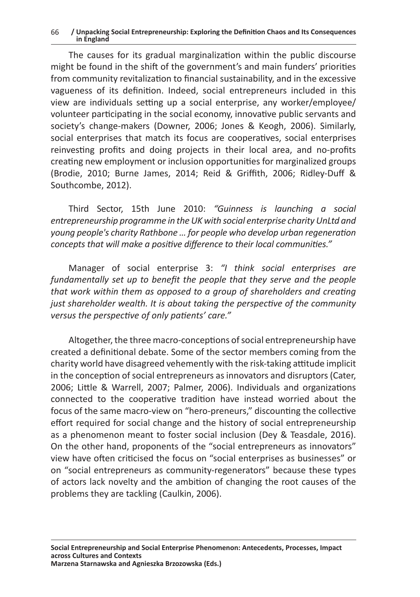The causes for its gradual marginalization within the public discourse might be found in the shift of the government's and main funders' priorities from community revitalization to financial sustainability, and in the excessive vagueness of its definition. Indeed, social entrepreneurs included in this view are individuals setting up a social enterprise, any worker/employee/ volunteer participating in the social economy, innovative public servants and society's change-makers (Downer, 2006; Jones & Keogh, 2006). Similarly, social enterprises that match its focus are cooperatives, social enterprises reinvesting profits and doing projects in their local area, and no-profits creating new employment or inclusion opportunities for marginalized groups (Brodie, 2010; Burne James, 2014; Reid & Griffith, 2006; Ridley-Duff & Southcombe, 2012).

Third Sector, 15th June 2010: *"Guinness is launching a social entrepreneurship programme in the UK with social enterprise charity UnLtd and young people's charity Rathbone … for people who develop urban regeneration concepts that will make a positive difference to their local communities."*

Manager of social enterprise 3: *"I think social enterprises are fundamentally set up to benefit the people that they serve and the people that work within them as opposed to a group of shareholders and creating just shareholder wealth. It is about taking the perspective of the community versus the perspective of only patients' care."*

Altogether, the three macro-conceptions of social entrepreneurship have created a definitional debate. Some of the sector members coming from the charity world have disagreed vehemently with the risk-taking attitude implicit in the conception of social entrepreneurs as innovators and disruptors (Cater, 2006; Little & Warrell, 2007; Palmer, 2006). Individuals and organizations connected to the cooperative tradition have instead worried about the focus of the same macro-view on "hero-preneurs," discounting the collective effort required for social change and the history of social entrepreneurship as a phenomenon meant to foster social inclusion (Dey & Teasdale, 2016). On the other hand, proponents of the "social entrepreneurs as innovators" view have often criticised the focus on "social enterprises as businesses" or on "social entrepreneurs as community-regenerators" because these types of actors lack novelty and the ambition of changing the root causes of the problems they are tackling (Caulkin, 2006).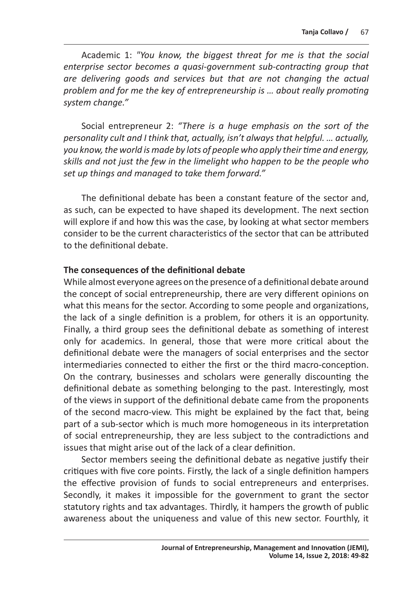Academic 1: *"You know, the biggest threat for me is that the social enterprise sector becomes a quasi-government sub-contracting group that are delivering goods and services but that are not changing the actual problem and for me the key of entrepreneurship is … about really promoting system change."*

Social entrepreneur 2: *"There is a huge emphasis on the sort of the personality cult and I think that, actually, isn't always that helpful. … actually, you know, the world is made by lots of people who apply their time and energy, skills and not just the few in the limelight who happen to be the people who set up things and managed to take them forward."*

The definitional debate has been a constant feature of the sector and, as such, can be expected to have shaped its development. The next section will explore if and how this was the case, by looking at what sector members consider to be the current characteristics of the sector that can be attributed to the definitional debate.

### **The consequences of the definitional debate**

While almost everyone agrees on the presence of a definitional debate around the concept of social entrepreneurship, there are very different opinions on what this means for the sector. According to some people and organizations, the lack of a single definition is a problem, for others it is an opportunity. Finally, a third group sees the definitional debate as something of interest only for academics. In general, those that were more critical about the definitional debate were the managers of social enterprises and the sector intermediaries connected to either the first or the third macro-conception. On the contrary, businesses and scholars were generally discounting the definitional debate as something belonging to the past. Interestingly, most of the views in support of the definitional debate came from the proponents of the second macro-view. This might be explained by the fact that, being part of a sub-sector which is much more homogeneous in its interpretation of social entrepreneurship, they are less subject to the contradictions and issues that might arise out of the lack of a clear definition.

Sector members seeing the definitional debate as negative justify their critiques with five core points. Firstly, the lack of a single definition hampers the effective provision of funds to social entrepreneurs and enterprises. Secondly, it makes it impossible for the government to grant the sector statutory rights and tax advantages. Thirdly, it hampers the growth of public awareness about the uniqueness and value of this new sector. Fourthly, it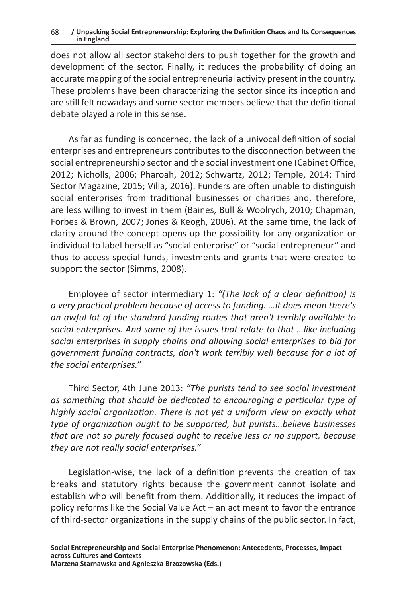does not allow all sector stakeholders to push together for the growth and development of the sector. Finally, it reduces the probability of doing an accurate mapping of the social entrepreneurial activity present in the country. These problems have been characterizing the sector since its inception and are still felt nowadays and some sector members believe that the definitional debate played a role in this sense.

As far as funding is concerned, the lack of a univocal definition of social enterprises and entrepreneurs contributes to the disconnection between the social entrepreneurship sector and the social investment one (Cabinet Office, 2012; Nicholls, 2006; Pharoah, 2012; Schwartz, 2012; Temple, 2014; Third Sector Magazine, 2015; Villa, 2016). Funders are often unable to distinguish social enterprises from traditional businesses or charities and, therefore, are less willing to invest in them (Baines, Bull & Woolrych, 2010; Chapman, Forbes & Brown, 2007; Jones & Keogh, 2006). At the same time, the lack of clarity around the concept opens up the possibility for any organization or individual to label herself as "social enterprise" or "social entrepreneur" and thus to access special funds, investments and grants that were created to support the sector (Simms, 2008).

Employee of sector intermediary 1: *"(The lack of a clear definition) is a very practical problem because of access to funding. …it does mean there's an awful lot of the standard funding routes that aren't terribly available to social enterprises. And some of the issues that relate to that …like including social enterprises in supply chains and allowing social enterprises to bid for government funding contracts, don't work terribly well because for a lot of the social enterprises."*

Third Sector, 4th June 2013: *"The purists tend to see social investment as something that should be dedicated to encouraging a particular type of highly social organization. There is not yet a uniform view on exactly what type of organization ought to be supported, but purists…believe businesses that are not so purely focused ought to receive less or no support, because they are not really social enterprises."*

Legislation-wise, the lack of a definition prevents the creation of tax breaks and statutory rights because the government cannot isolate and establish who will benefit from them. Additionally, it reduces the impact of policy reforms like the Social Value Act – an act meant to favor the entrance of third-sector organizations in the supply chains of the public sector. In fact,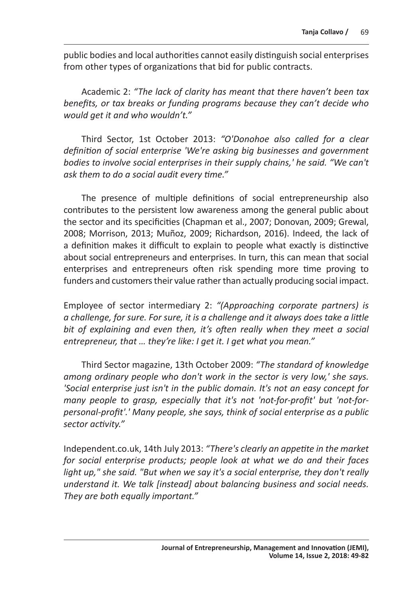public bodies and local authorities cannot easily distinguish social enterprises from other types of organizations that bid for public contracts.

Academic 2: *"The lack of clarity has meant that there haven't been tax benefits, or tax breaks or funding programs because they can't decide who would get it and who wouldn't."*

Third Sector, 1st October 2013: *"O'Donohoe also called for a clear definition of social enterprise 'We're asking big businesses and government bodies to involve social enterprises in their supply chains,' he said. "We can't ask them to do a social audit every time."*

The presence of multiple definitions of social entrepreneurship also contributes to the persistent low awareness among the general public about the sector and its specificities (Chapman et al., 2007; Donovan, 2009; Grewal, 2008; Morrison, 2013; Muñoz, 2009; Richardson, 2016). Indeed, the lack of a definition makes it difficult to explain to people what exactly is distinctive about social entrepreneurs and enterprises. In turn, this can mean that social enterprises and entrepreneurs often risk spending more time proving to funders and customers their value rather than actually producing social impact.

Employee of sector intermediary 2: *"(Approaching corporate partners) is a challenge, for sure. For sure, it is a challenge and it always does take a little bit of explaining and even then, it's often really when they meet a social entrepreneur, that … they're like: I get it. I get what you mean."*

Third Sector magazine, 13th October 2009: *"The standard of knowledge among ordinary people who don't work in the sector is very low,' she says. 'Social enterprise just isn't in the public domain. It's not an easy concept for many people to grasp, especially that it's not 'not-for-profit' but 'not-forpersonal-profit'.' Many people, she says, think of social enterprise as a public sector activity."* 

Independent.co.uk, 14th July 2013: *"There's clearly an appetite in the market for social enterprise products; people look at what we do and their faces light up," she said. "But when we say it's a social enterprise, they don't really understand it. We talk [instead] about balancing business and social needs. They are both equally important."*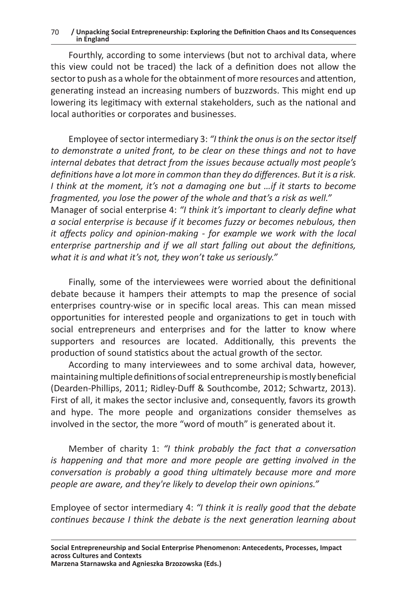Fourthly, according to some interviews (but not to archival data, where this view could not be traced) the lack of a definition does not allow the sector to push as a whole for the obtainment of more resources and attention, generating instead an increasing numbers of buzzwords. This might end up lowering its legitimacy with external stakeholders, such as the national and local authorities or corporates and businesses.

Employee of sector intermediary 3: *"I think the onus is on the sector itself to demonstrate a united front, to be clear on these things and not to have internal debates that detract from the issues because actually most people's definitions have a lot more in common than they do differences. But it is a risk. I think at the moment, it's not a damaging one but …if it starts to become fragmented, you lose the power of the whole and that's a risk as well."* Manager of social enterprise 4: *"I think it's important to clearly define what a social enterprise is because if it becomes fuzzy or becomes nebulous, then it affects policy and opinion-making - for example we work with the local enterprise partnership and if we all start falling out about the definitions, what it is and what it's not, they won't take us seriously."*

Finally, some of the interviewees were worried about the definitional debate because it hampers their attempts to map the presence of social enterprises country-wise or in specific local areas. This can mean missed opportunities for interested people and organizations to get in touch with social entrepreneurs and enterprises and for the latter to know where supporters and resources are located. Additionally, this prevents the production of sound statistics about the actual growth of the sector.

According to many interviewees and to some archival data, however, maintaining multiple definitions of social entrepreneurship is mostly beneficial (Dearden-Phillips, 2011; Ridley-Duff & Southcombe, 2012; Schwartz, 2013). First of all, it makes the sector inclusive and, consequently, favors its growth and hype. The more people and organizations consider themselves as involved in the sector, the more "word of mouth" is generated about it.

Member of charity 1: *"I think probably the fact that a conversation is happening and that more and more people are getting involved in the conversation is probably a good thing ultimately because more and more people are aware, and they're likely to develop their own opinions."*

Employee of sector intermediary 4: *"I think it is really good that the debate continues because I think the debate is the next generation learning about*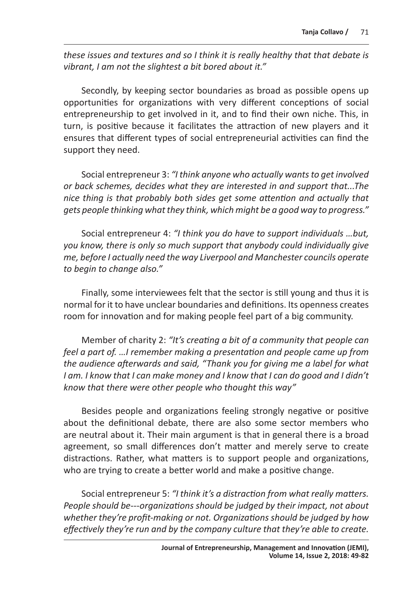*these issues and textures and so I think it is really healthy that that debate is vibrant, I am not the slightest a bit bored about it."*

Secondly, by keeping sector boundaries as broad as possible opens up opportunities for organizations with very different conceptions of social entrepreneurship to get involved in it, and to find their own niche. This, in turn, is positive because it facilitates the attraction of new players and it ensures that different types of social entrepreneurial activities can find the support they need.

Social entrepreneur 3: *"I think anyone who actually wants to get involved or back schemes, decides what they are interested in and support that...The nice thing is that probably both sides get some attention and actually that gets people thinking what they think, which might be a good way to progress."*

Social entrepreneur 4: *"I think you do have to support individuals …but, you know, there is only so much support that anybody could individually give me, before I actually need the way Liverpool and Manchester councils operate to begin to change also."*

Finally, some interviewees felt that the sector is still young and thus it is normal for it to have unclear boundaries and definitions. Its openness creates room for innovation and for making people feel part of a big community.

Member of charity 2: *"It's creating a bit of a community that people can feel a part of. …I remember making a presentation and people came up from the audience afterwards and said, "Thank you for giving me a label for what I am. I know that I can make money and I know that I can do good and I didn't know that there were other people who thought this way"*

Besides people and organizations feeling strongly negative or positive about the definitional debate, there are also some sector members who are neutral about it. Their main argument is that in general there is a broad agreement, so small differences don't matter and merely serve to create distractions. Rather, what matters is to support people and organizations, who are trying to create a better world and make a positive change.

Social entrepreneur 5: *"I think it's a distraction from what really matters. People should be---organizations should be judged by their impact, not about whether they're profit-making or not. Organizations should be judged by how effectively they're run and by the company culture that they're able to create.*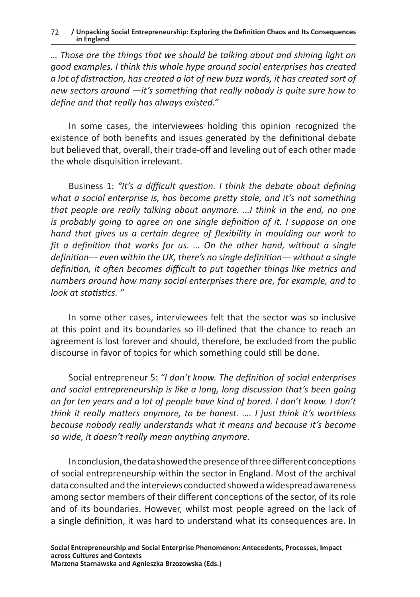*… Those are the things that we should be talking about and shining light on good examples. I think this whole hype around social enterprises has created a lot of distraction, has created a lot of new buzz words, it has created sort of new sectors around —it's something that really nobody is quite sure how to define and that really has always existed."*

In some cases, the interviewees holding this opinion recognized the existence of both benefits and issues generated by the definitional debate but believed that, overall, their trade-off and leveling out of each other made the whole disquisition irrelevant.

Business 1: *"It's a difficult question. I think the debate about defining what a social enterprise is, has become pretty stale, and it's not something that people are really talking about anymore. …I think in the end, no one is probably going to agree on one single definition of it. I suppose on one hand that gives us a certain degree of flexibility in moulding our work to fit a definition that works for us. … On the other hand, without a single definition--- even within the UK, there's no single definition--- without a single definition, it often becomes difficult to put together things like metrics and numbers around how many social enterprises there are, for example, and to look at statistics. "*

In some other cases, interviewees felt that the sector was so inclusive at this point and its boundaries so ill-defined that the chance to reach an agreement is lost forever and should, therefore, be excluded from the public discourse in favor of topics for which something could still be done.

Social entrepreneur 5: *"I don't know. The definition of social enterprises and social entrepreneurship is like a long, long discussion that's been going on for ten years and a lot of people have kind of bored. I don't know. I don't think it really matters anymore, to be honest. …. I just think it's worthless because nobody really understands what it means and because it's become so wide, it doesn't really mean anything anymore.*

In conclusion, the data showed the presence of three different conceptions of social entrepreneurship within the sector in England. Most of the archival data consulted and the interviews conducted showed awidespread awareness among sector members of their different conceptions of the sector, of its role and of its boundaries. However, whilst most people agreed on the lack of a single definition, it was hard to understand what its consequences are. In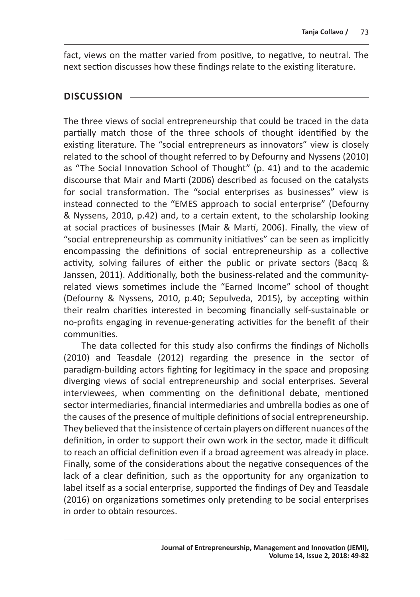fact, views on the matter varied from positive, to negative, to neutral. The next section discusses how these findings relate to the existing literature.

# **DISCUSSION**

The three views of social entrepreneurship that could be traced in the data partially match those of the three schools of thought identified by the existing literature. The "social entrepreneurs as innovators" view is closely related to the school of thought referred to by Defourny and Nyssens (2010) as "The Social Innovation School of Thought" (p. 41) and to the academic discourse that Mair and Marti (2006) described as focused on the catalysts for social transformation. The "social enterprises as businesses" view is instead connected to the "EMES approach to social enterprise" (Defourny & Nyssens, 2010, p.42) and, to a certain extent, to the scholarship looking at social practices of businesses (Mair & Martí, 2006). Finally, the view of "social entrepreneurship as community initiatives" can be seen as implicitly encompassing the definitions of social entrepreneurship as a collective activity, solving failures of either the public or private sectors (Bacq & Janssen, 2011). Additionally, both the business-related and the communityrelated views sometimes include the "Earned Income" school of thought (Defourny & Nyssens, 2010, p.40; Sepulveda, 2015), by accepting within their realm charities interested in becoming financially self-sustainable or no-profits engaging in revenue-generating activities for the benefit of their communities.

The data collected for this study also confirms the findings of Nicholls (2010) and Teasdale (2012) regarding the presence in the sector of paradigm-building actors fighting for legitimacy in the space and proposing diverging views of social entrepreneurship and social enterprises. Several interviewees, when commenting on the definitional debate, mentioned sector intermediaries, financial intermediaries and umbrella bodies as one of the causes of the presence of multiple definitions of social entrepreneurship. They believed that the insistence of certain players on different nuances of the definition, in order to support their own work in the sector, made it difficult to reach an official definition even if a broad agreement was already in place. Finally, some of the considerations about the negative consequences of the lack of a clear definition, such as the opportunity for any organization to label itself as a social enterprise, supported the findings of Dey and Teasdale (2016) on organizations sometimes only pretending to be social enterprises in order to obtain resources.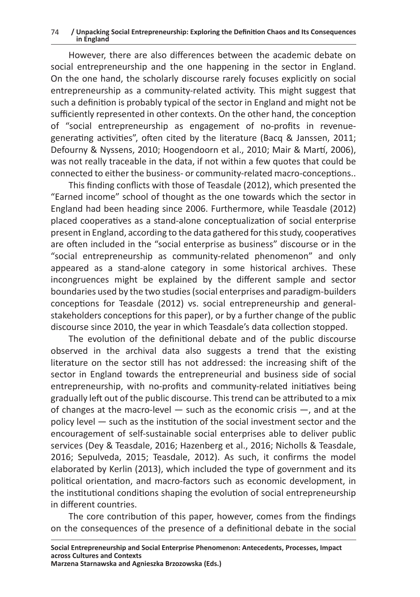However, there are also differences between the academic debate on social entrepreneurship and the one happening in the sector in England. On the one hand, the scholarly discourse rarely focuses explicitly on social entrepreneurship as a community-related activity. This might suggest that such a definition is probably typical of the sector in England and might not be sufficiently represented in other contexts. On the other hand, the conception of "social entrepreneurship as engagement of no-profits in revenuegenerating activities", often cited by the literature (Bacq & Janssen, 2011; Defourny & Nyssens, 2010; Hoogendoorn et al., 2010; Mair & Martí, 2006), was not really traceable in the data, if not within a few quotes that could be connected to either the business- or community-related macro-conceptions..

This finding conflicts with those of Teasdale (2012), which presented the "Earned income" school of thought as the one towards which the sector in England had been heading since 2006. Furthermore, while Teasdale (2012) placed cooperatives as a stand-alone conceptualization of social enterprise present in England, according to the data gathered for this study, cooperatives are often included in the "social enterprise as business" discourse or in the "social entrepreneurship as community-related phenomenon" and only appeared as a stand-alone category in some historical archives. These incongruences might be explained by the different sample and sector boundaries used by the two studies (social enterprises and paradigm-builders conceptions for Teasdale (2012) vs. social entrepreneurship and generalstakeholders conceptions for this paper), or by a further change of the public discourse since 2010, the year in which Teasdale's data collection stopped.

The evolution of the definitional debate and of the public discourse observed in the archival data also suggests a trend that the existing literature on the sector still has not addressed: the increasing shift of the sector in England towards the entrepreneurial and business side of social entrepreneurship, with no-profits and community-related initiatives being gradually left out of the public discourse. This trend can be attributed to a mix of changes at the macro-level  $-$  such as the economic crisis  $-$ , and at the policy level — such as the institution of the social investment sector and the encouragement of self-sustainable social enterprises able to deliver public services (Dey & Teasdale, 2016; Hazenberg et al., 2016; Nicholls & Teasdale, 2016; Sepulveda, 2015; Teasdale, 2012). As such, it confirms the model elaborated by Kerlin (2013), which included the type of government and its political orientation, and macro-factors such as economic development, in the institutional conditions shaping the evolution of social entrepreneurship in different countries.

The core contribution of this paper, however, comes from the findings on the consequences of the presence of a definitional debate in the social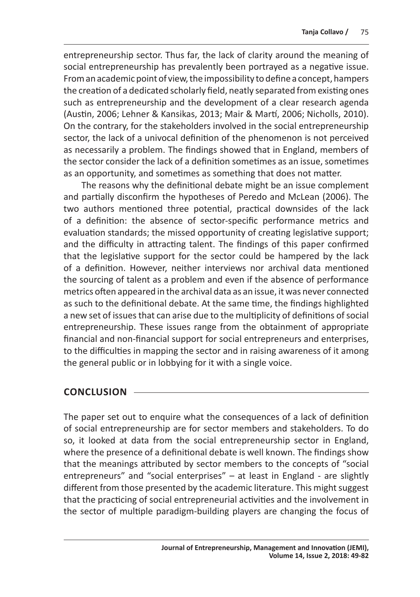entrepreneurship sector. Thus far, the lack of clarity around the meaning of social entrepreneurship has prevalently been portrayed as a negative issue. From an academic point of view, the impossibility to define a concept, hampers the creation of a dedicated scholarly field, neatly separated from existing ones such as entrepreneurship and the development of a clear research agenda (Austin, 2006; Lehner & Kansikas, 2013; Mair & Martí, 2006; Nicholls, 2010). On the contrary, for the stakeholders involved in the social entrepreneurship sector, the lack of a univocal definition of the phenomenon is not perceived as necessarily a problem. The findings showed that in England, members of the sector consider the lack of a definition sometimes as an issue, sometimes as an opportunity, and sometimes as something that does not matter.

The reasons why the definitional debate might be an issue complement and partially disconfirm the hypotheses of Peredo and McLean (2006). The two authors mentioned three potential, practical downsides of the lack of a definition: the absence of sector-specific performance metrics and evaluation standards; the missed opportunity of creating legislative support; and the difficulty in attracting talent. The findings of this paper confirmed that the legislative support for the sector could be hampered by the lack of a definition. However, neither interviews nor archival data mentioned the sourcing of talent as a problem and even if the absence of performance metrics often appeared in the archival data as an issue, it was never connected as such to the definitional debate. At the same time, the findings highlighted a new set of issues that can arise due to the multiplicity of definitions of social entrepreneurship. These issues range from the obtainment of appropriate financial and non-financial support for social entrepreneurs and enterprises, to the difficulties in mapping the sector and in raising awareness of it among the general public or in lobbying for it with a single voice.

# **CONCLUSION**

The paper set out to enquire what the consequences of a lack of definition of social entrepreneurship are for sector members and stakeholders. To do so, it looked at data from the social entrepreneurship sector in England, where the presence of a definitional debate is well known. The findings show that the meanings attributed by sector members to the concepts of "social entrepreneurs" and "social enterprises" – at least in England - are slightly different from those presented by the academic literature. This might suggest that the practicing of social entrepreneurial activities and the involvement in the sector of multiple paradigm-building players are changing the focus of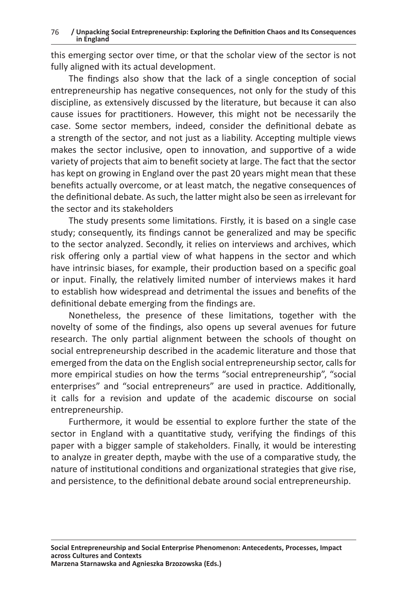this emerging sector over time, or that the scholar view of the sector is not fully aligned with its actual development.

The findings also show that the lack of a single conception of social entrepreneurship has negative consequences, not only for the study of this discipline, as extensively discussed by the literature, but because it can also cause issues for practitioners. However, this might not be necessarily the case. Some sector members, indeed, consider the definitional debate as a strength of the sector, and not just as a liability. Accepting multiple views makes the sector inclusive, open to innovation, and supportive of a wide variety of projects that aim to benefit society at large. The fact that the sector has kept on growing in England over the past 20 years might mean that these benefits actually overcome, or at least match, the negative consequences of the definitional debate. As such, the latter might also be seen as irrelevant for the sector and its stakeholders

The study presents some limitations. Firstly, it is based on a single case study; consequently, its findings cannot be generalized and may be specific to the sector analyzed. Secondly, it relies on interviews and archives, which risk offering only a partial view of what happens in the sector and which have intrinsic biases, for example, their production based on a specific goal or input. Finally, the relatively limited number of interviews makes it hard to establish how widespread and detrimental the issues and benefits of the definitional debate emerging from the findings are.

Nonetheless, the presence of these limitations, together with the novelty of some of the findings, also opens up several avenues for future research. The only partial alignment between the schools of thought on social entrepreneurship described in the academic literature and those that emerged from the data on the English social entrepreneurship sector, calls for more empirical studies on how the terms "social entrepreneurship", "social enterprises" and "social entrepreneurs" are used in practice. Additionally, it calls for a revision and update of the academic discourse on social entrepreneurship.

Furthermore, it would be essential to explore further the state of the sector in England with a quantitative study, verifying the findings of this paper with a bigger sample of stakeholders. Finally, it would be interesting to analyze in greater depth, maybe with the use of a comparative study, the nature of institutional conditions and organizational strategies that give rise, and persistence, to the definitional debate around social entrepreneurship.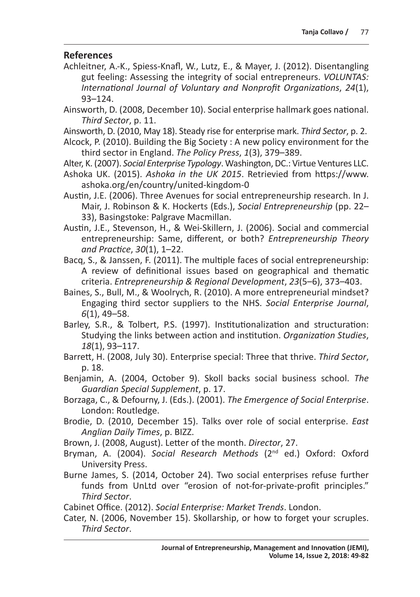# **References**

- Achleitner, A.-K., Spiess-Knafl, W., Lutz, E., & Mayer, J. (2012). Disentangling gut feeling: Assessing the integrity of social entrepreneurs. *VOLUNTAS: International Journal of Voluntary and Nonprofit Organizations*, *24*(1), 93–124.
- Ainsworth, D. (2008, December 10). Social enterprise hallmark goes national. *Third Sector*, p. 11.
- Ainsworth, D. (2010, May 18). Steady rise for enterprise mark. *Third Sector*, p. 2.
- Alcock, P. (2010). Building the Big Society : A new policy environment for the third sector in England. *The Policy Press*, *1*(3), 379–389.
- Alter, K. (2007). *Social Enterprise Typology*. Washington, DC.: Virtue Ventures LLC.
- Ashoka UK. (2015). *Ashoka in the UK 2015*. Retrievied from https://www. ashoka.org/en/country/united-kingdom-0
- Austin, J.E. (2006). Three Avenues for social entrepreneurship research. In J. Mair, J. Robinson & K. Hockerts (Eds.), *Social Entrepreneurship* (pp. 22– 33), Basingstoke: Palgrave Macmillan.
- Austin, J.E., Stevenson, H., & Wei-Skillern, J. (2006). Social and commercial entrepreneurship: Same, different, or both? *Entrepreneurship Theory and Practice*, *30*(1), 1–22.
- Bacq, S., & Janssen, F. (2011). The multiple faces of social entrepreneurship: A review of definitional issues based on geographical and thematic criteria. *Entrepreneurship & Regional Development*, *23*(5–6), 373–403.
- Baines, S., Bull, M., & Woolrych, R. (2010). A more entrepreneurial mindset? Engaging third sector suppliers to the NHS. *Social Enterprise Journal*, *6*(1), 49–58.
- Barley, S.R., & Tolbert, P.S. (1997). Institutionalization and structuration: Studying the links between action and institution. *Organization Studies*, *18*(1), 93–117.
- Barrett, H. (2008, July 30). Enterprise special: Three that thrive. *Third Sector*, p. 18.
- Benjamin, A. (2004, October 9). Skoll backs social business school. *The Guardian Special Supplement*, p. 17.
- Borzaga, C., & Defourny, J. (Eds.). (2001). *The Emergence of Social Enterprise*. London: Routledge.
- Brodie, D. (2010, December 15). Talks over role of social enterprise. *East Anglian Daily Times*, p. BIZZ.
- Brown, J. (2008, August). Letter of the month. *Director*, 27.
- Bryman, A. (2004). *Social Research Methods* (2nd ed.) Oxford: Oxford University Press.
- Burne James, S. (2014, October 24). Two social enterprises refuse further funds from UnLtd over "erosion of not-for-private-profit principles." *Third Sector*.

Cabinet Office. (2012). *Social Enterprise: Market Trends*. London.

Cater, N. (2006, November 15). Skollarship, or how to forget your scruples. *Third Sector*.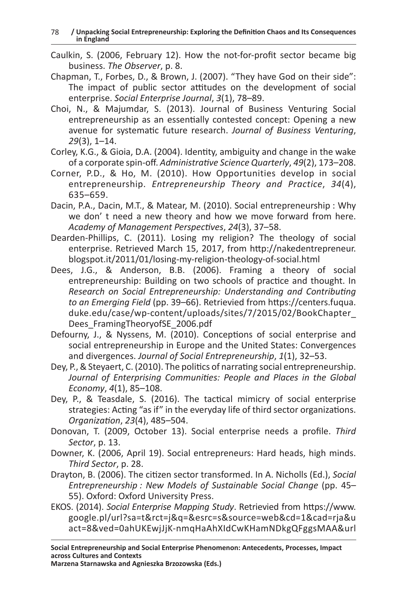- Caulkin, S. (2006, February 12). How the not-for-profit sector became big business. *The Observer*, p. 8.
- Chapman, T., Forbes, D., & Brown, J. (2007). "They have God on their side": The impact of public sector attitudes on the development of social enterprise. *Social Enterprise Journal*, *3*(1), 78–89.
- Choi, N., & Majumdar, S. (2013). Journal of Business Venturing Social entrepreneurship as an essentially contested concept: Opening a new avenue for systematic future research. *Journal of Business Venturing*, *29*(3), 1–14.
- Corley, K.G., & Gioia, D.A. (2004). Identity, ambiguity and change in the wake of a corporate spin-off. *Administrative Science Quarterly*, *49*(2), 173–208.
- Corner, P.D., & Ho, M. (2010). How Opportunities develop in social entrepreneurship. *Entrepreneurship Theory and Practice*, *34*(4), 635–659.
- Dacin, P.A., Dacin, M.T., & Matear, M. (2010). Social entrepreneurship : Why we don' t need a new theory and how we move forward from here. *Academy of Management Perspectives*, *24*(3), 37–58.
- Dearden-Phillips, C. (2011). Losing my religion? The theology of social enterprise. Retrieved March 15, 2017, from http://nakedentrepreneur. blogspot.it/2011/01/losing-my-religion-theology-of-social.html
- Dees, J.G., & Anderson, B.B. (2006). Framing a theory of social entrepreneurship: Building on two schools of practice and thought. In *Research on Social Entrepreneurship: Understanding and Contributing to an Emerging Field* (pp. 39–66). Retrievied from https://centers.fuqua. duke.edu/case/wp-content/uploads/sites/7/2015/02/BookChapter\_ Dees\_FramingTheoryofSE\_2006.pdf
- Defourny, J., & Nyssens, M. (2010). Conceptions of social enterprise and social entrepreneurship in Europe and the United States: Convergences and divergences. *Journal of Social Entrepreneurship*, *1*(1), 32–53.
- Dey, P., & Steyaert, C. (2010). The politics of narrating social entrepreneurship. *Journal of Enterprising Communities: People and Places in the Global Economy*, *4*(1), 85–108.
- Dey, P., & Teasdale, S. (2016). The tactical mimicry of social enterprise strategies: Acting "as if" in the everyday life of third sector organizations. *Organization*, *23*(4), 485–504.
- Donovan, T. (2009, October 13). Social enterprise needs a profile. *Third Sector*, p. 13.
- Downer, K. (2006, April 19). Social entrepreneurs: Hard heads, high minds. *Third Sector*, p. 28.
- Drayton, B. (2006). The citizen sector transformed. In A. Nicholls (Ed.), *Social Entrepreneurship : New Models of Sustainable Social Change* (pp. 45– 55). Oxford: Oxford University Press.
- EKOS. (2014). *Social Enterprise Mapping Study*. Retrievied from https://www. google.pl/url?sa=t&rct=j&q=&esrc=s&source=web&cd=1&cad=rja&u act=8&ved=0ahUKEwjJjK-nmqHaAhXIdCwKHamNDkgQFggsMAA&url

**Marzena Starnawska and Agnieszka Brzozowska (Eds.)**

**Social Entrepreneurship and Social Enterprise Phenomenon: Antecedents, Processes, Impact across Cultures and Contexts**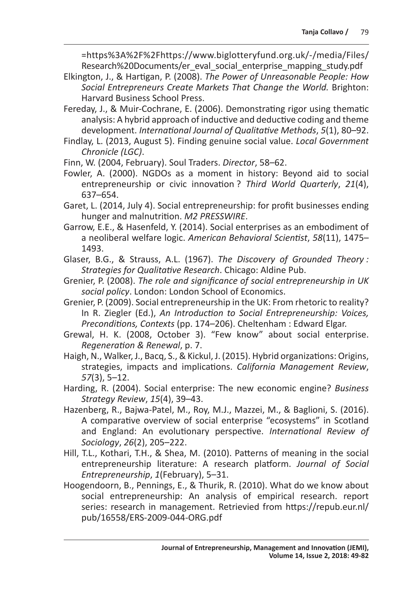=https%3A%2F%2Fhttps://www.biglotteryfund.org.uk/-/media/Files/ Research%20Documents/er\_eval\_social\_enterprise\_mapping\_study.pdf

- Elkington, J., & Hartigan, P. (2008). *The Power of Unreasonable People: How Social Entrepreneurs Create Markets That Change the World.* Brighton: Harvard Business School Press.
- Fereday, J., & Muir-Cochrane, E. (2006). Demonstrating rigor using thematic analysis: A hybrid approach of inductive and deductive coding and theme development. *International Journal of Qualitative Methods*, *5*(1), 80–92.
- Findlay, L. (2013, August 5). Finding genuine social value. *Local Government Chronicle (LGC)*.
- Finn, W. (2004, February). Soul Traders. *Director*, 58–62.
- Fowler, A. (2000). NGDOs as a moment in history: Beyond aid to social entrepreneurship or civic innovation ? *Third World Quarterly*, *21*(4), 637–654.
- Garet, L. (2014, July 4). Social entrepreneurship: for profit businesses ending hunger and malnutrition. *M2 PRESSWIRE*.
- Garrow, E.E., & Hasenfeld, Y. (2014). Social enterprises as an embodiment of a neoliberal welfare logic. *American Behavioral Scientist*, *58*(11), 1475– 1493.
- Glaser, B.G., & Strauss, A.L. (1967). *The Discovery of Grounded Theory : Strategies for Qualitative Research*. Chicago: Aldine Pub.
- Grenier, P. (2008). *The role and significance of social entrepreneurship in UK social policy*. London: London School of Economics.
- Grenier, P. (2009). Social entrepreneurship in the UK: From rhetoric to reality? In R. Ziegler (Ed.), *An Introduction to Social Entrepreneurship: Voices, Preconditions, Contexts* (pp. 174–206). Cheltenham : Edward Elgar.
- Grewal, H. K. (2008, October 3). "Few know" about social enterprise. *Regeneration & Renewal*, p. 7.
- Haigh, N., Walker, J., Bacq, S., & Kickul, J. (2015). Hybrid organizations: Origins, strategies, impacts and implications. *California Management Review*, *57*(3), 5–12.
- Harding, R. (2004). Social enterprise: The new economic engine? *Business Strategy Review*, *15*(4), 39–43.
- Hazenberg, R., Bajwa-Patel, M., Roy, M.J., Mazzei, M., & Baglioni, S. (2016). A comparative overview of social enterprise "ecosystems" in Scotland and England: An evolutionary perspective. *International Review of Sociology*, *26*(2), 205–222.
- Hill, T.L., Kothari, T.H., & Shea, M. (2010). Patterns of meaning in the social entrepreneurship literature: A research platform. *Journal of Social Entrepreneurship*, *1*(February), 5–31.
- Hoogendoorn, B., Pennings, E., & Thurik, R. (2010). What do we know about social entrepreneurship: An analysis of empirical research. report series: research in management. Retrievied from https://repub.eur.nl/ pub/16558/ERS-2009-044-ORG.pdf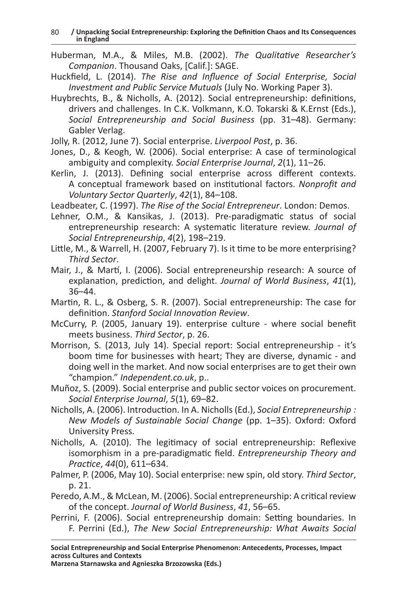- Huberman, M.A., & Miles, M.B. (2002). *The Qualitative Researcher's Companion*. Thousand Oaks, [Calif.]: SAGE.
- Huckfield, L. (2014). *The Rise and Influence of Social Enterprise, Social Investment and Public Service Mutuals* (July No. Working Paper 3).
- Huybrechts, B., & Nicholls, A. (2012). Social entrepreneurship: definitions, drivers and challenges. In C.K. Volkmann, K.O. Tokarski & K.Ernst (Eds.), *Social Entrepreneurship and Social Business* (pp. 31–48). Germany: Gabler Verlag.
- Jolly, R. (2012, June 7). Social enterprise. *Liverpool Post*, p. 36.
- Jones, D., & Keogh, W. (2006). Social enterprise: A case of terminological ambiguity and complexity. *Social Enterprise Journal*, *2*(1), 11–26.
- Kerlin, J. (2013). Defining social enterprise across different contexts. A conceptual framework based on institutional factors. *Nonprofit and Voluntary Sector Quarterly*, *42*(1), 84–108.

Leadbeater, C. (1997). *The Rise of the Social Entrepreneur*. London: Demos.

- Lehner, O.M., & Kansikas, J. (2013). Pre-paradigmatic status of social entrepreneurship research: A systematic literature review. *Journal of Social Entrepreneurship*, *4*(2), 198–219.
- Little, M., & Warrell, H. (2007, February 7). Is it time to be more enterprising? *Third Sector*.
- Mair, J., & Martí, I. (2006). Social entrepreneurship research: A source of explanation, prediction, and delight. *Journal of World Business*, *41*(1), 36–44.
- Martin, R. L., & Osberg, S. R. (2007). Social entrepreneurship: The case for definition. *Stanford Social Innovation Review*.
- McCurry, P. (2005, January 19). enterprise culture where social benefit meets business. *Third Sector*, p. 26.
- Morrison, S. (2013, July 14). Special report: Social entrepreneurship it's boom time for businesses with heart; They are diverse, dynamic - and doing well in the market. And now social enterprises are to get their own "champion." *Independent.co.uk*, p..
- Muñoz, S. (2009). Social enterprise and public sector voices on procurement. *Social Enterprise Journal*, *5*(1), 69–82.
- Nicholls, A. (2006). Introduction. In A. Nicholls (Ed.), *Social Entrepreneurship : New Models of Sustainable Social Change* (pp. 1–35). Oxford: Oxford University Press.
- Nicholls, A. (2010). The legitimacy of social entrepreneurship: Reflexive isomorphism in a pre-paradigmatic field. *Entrepreneurship Theory and Practice*, *44*(0), 611–634.
- Palmer, P. (2006, May 10). Social enterprise: new spin, old story. *Third Sector*, p. 21.
- Peredo, A.M., & McLean, M. (2006). Social entrepreneurship: A critical review of the concept. *Journal of World Business*, *41*, 56–65.
- Perrini, F. (2006). Social entrepreneurship domain: Setting boundaries. In F. Perrini (Ed.), *The New Social Entrepreneurship: What Awaits Social*

**Social Entrepreneurship and Social Enterprise Phenomenon: Antecedents, Processes, Impact across Cultures and Contexts**

**Marzena Starnawska and Agnieszka Brzozowska (Eds.)**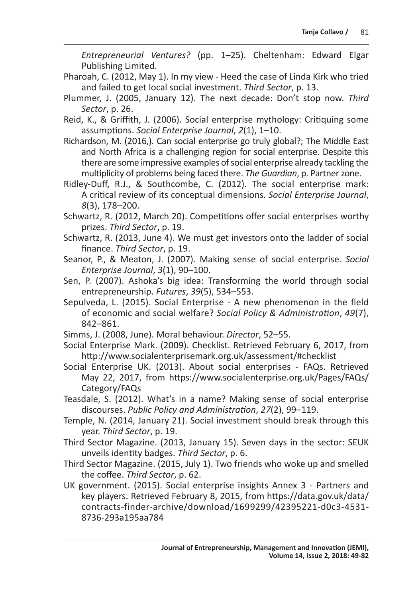*Entrepreneurial Ventures?* (pp. 1–25). Cheltenham: Edward Elgar Publishing Limited.

- Pharoah, C. (2012, May 1). In my view Heed the case of Linda Kirk who tried and failed to get local social investment. *Third Sector*, p. 13.
- Plummer, J. (2005, January 12). The next decade: Don't stop now. *Third Sector*, p. 26.
- Reid, K., & Griffith, J. (2006). Social enterprise mythology: Critiquing some assumptions. *Social Enterprise Journal*, *2*(1), 1–10.
- Richardson, M. (2016,). Can social enterprise go truly global?; The Middle East and North Africa is a challenging region for social enterprise. Despite this there are some impressive examples of social enterprise already tackling the multiplicity of problems being faced there. *The Guardian*, p. Partner zone.
- Ridley-Duff, R.J., & Southcombe, C. (2012). The social enterprise mark: A critical review of its conceptual dimensions. *Social Enterprise Journal*, *8*(3), 178–200.
- Schwartz, R. (2012, March 20). Competitions offer social enterprises worthy prizes. *Third Sector*, p. 19.
- Schwartz, R. (2013, June 4). We must get investors onto the ladder of social finance. *Third Sector*, p. 19.
- Seanor, P., & Meaton, J. (2007). Making sense of social enterprise. *Social Enterprise Journal*, *3*(1), 90–100.
- Sen, P. (2007). Ashoka's big idea: Transforming the world through social entrepreneurship. *Futures*, *39*(5), 534–553.
- Sepulveda, L. (2015). Social Enterprise A new phenomenon in the field of economic and social welfare? *Social Policy & Administration*, *49*(7), 842–861.
- Simms, J. (2008, June). Moral behaviour. *Director*, 52–55.
- Social Enterprise Mark. (2009). Checklist. Retrieved February 6, 2017, from http://www.socialenterprisemark.org.uk/assessment/#checklist
- Social Enterprise UK. (2013). About social enterprises FAQs. Retrieved May 22, 2017, from https://www.socialenterprise.org.uk/Pages/FAQs/ Category/FAQs
- Teasdale, S. (2012). What's in a name? Making sense of social enterprise discourses. *Public Policy and Administration*, *27*(2), 99–119.
- Temple, N. (2014, January 21). Social investment should break through this year. *Third Sector*, p. 19.
- Third Sector Magazine. (2013, January 15). Seven days in the sector: SEUK unveils identity badges. *Third Sector*, p. 6.
- Third Sector Magazine. (2015, July 1). Two friends who woke up and smelled the coffee. *Third Sector*, p. 62.
- UK government. (2015). Social enterprise insights Annex 3 Partners and key players. Retrieved February 8, 2015, from https://data.gov.uk/data/ contracts-finder-archive/download/1699299/42395221-d0c3-4531- 8736-293a195aa784